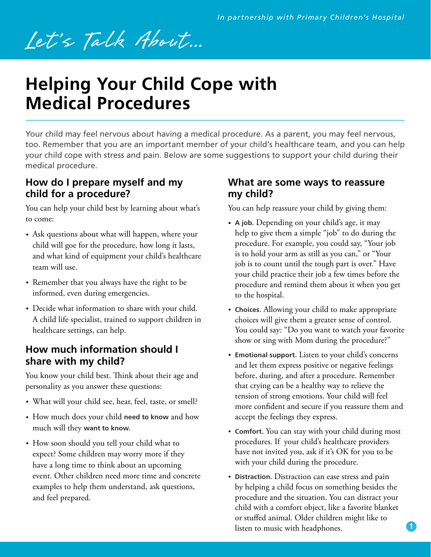# Let's Talk About...

## **Helping Your Child Cope with Medical Procedures**

Your child may feel nervous about having a medical procedure. As a parent, you may feel nervous, too. Remember that you are an important member of your child's healthcare team, and you can help your child cope with stress and pain. Below are some suggestions to support your child during their medical procedure.

## **How do I prepare myself and my child for a procedure?**

You can help your child best by learning about what's to come:

- Ask questions about what will happen, where your child will goe for the procedure, how long it lasts, and what kind of equipment your child's healthcare team will use.
- Remember that you always have the right to be informed, even during emergencies.
- Decide what information to share with your child. A child life specialist, trained to support children in healthcare settings, can help.

## **How much information should I share with my child?**

You know your child best. Think about their age and personality as you answer these questions:

- What will your child see, hear, feel, taste, or smell?
- How much does your child **need to know** and how much will they **want to know**.
- How soon should you tell your child what to expect? Some children may worry more if they have a long time to think about an upcoming event. Other children need more time and concrete examples to help them understand, ask questions, and feel prepared.

## **What are some ways to reassure my child?**

You can help reassure your child by giving them:

- **A job.** Depending on your child's age, it may help to give them a simple "job" to do during the procedure. For example, you could say, "Your job is to hold your arm as still as you can," or "Your job is to count until the tough part is over." Have your child practice their job a few times before the procedure and remind them about it when you get to the hospital.
- **Choices.** Allowing your child to make appropriate choices will give them a greater sense of control. You could say: "Do you want to watch your favorite show or sing with Mom during the procedure?"
- **Emotional support.** Listen to your child's concerns and let them express positive or negative feelings before, during, and after a procedure. Remember that crying can be a healthy way to relieve the tension of strong emotions. Your child will feel more confident and secure if you reassure them and accept the feelings they express.
- **Comfort.** You can stay with your child during most procedures. If your child's healthcare providers have not invited you, ask if it's OK for you to be with your child during the procedure.
- **Distraction.** Distraction can ease stress and pain by helping a child focus on something besides the procedure and the situation. You can distract your child with a comfort object, like a favorite blanket or stuffed animal. Older children might like to listen to music with headphones.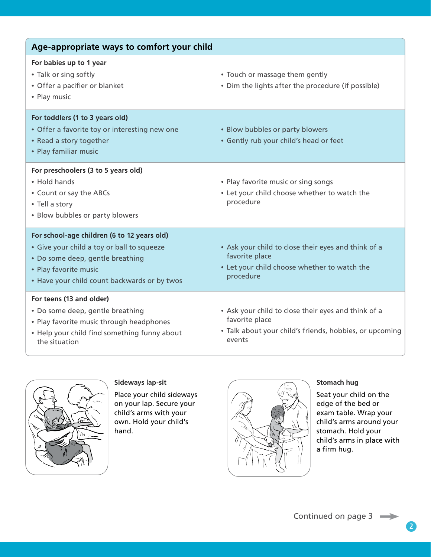| Age-appropriate ways to comfort your child                                                                                                                                                             |                                                                                                                                            |
|--------------------------------------------------------------------------------------------------------------------------------------------------------------------------------------------------------|--------------------------------------------------------------------------------------------------------------------------------------------|
| For babies up to 1 year<br>• Talk or sing softly<br>• Offer a pacifier or blanket<br>• Play music                                                                                                      | • Touch or massage them gently<br>• Dim the lights after the procedure (if possible)                                                       |
| For toddlers (1 to 3 years old)<br>• Offer a favorite toy or interesting new one<br>• Read a story together<br>• Play familiar music                                                                   | • Blow bubbles or party blowers<br>• Gently rub your child's head or feet                                                                  |
| For preschoolers (3 to 5 years old)<br>• Hold hands<br>• Count or say the ABCs<br>• Tell a story<br>• Blow bubbles or party blowers                                                                    | • Play favorite music or sing songs<br>• Let your child choose whether to watch the<br>procedure                                           |
| For school-age children (6 to 12 years old)<br>• Give your child a toy or ball to squeeze<br>• Do some deep, gentle breathing<br>• Play favorite music<br>• Have your child count backwards or by twos | • Ask your child to close their eyes and think of a<br>favorite place<br>• Let your child choose whether to watch the<br>procedure         |
| For teens (13 and older)<br>• Do some deep, gentle breathing<br>• Play favorite music through headphones<br>• Help your child find something funny about<br>the situation                              | • Ask your child to close their eyes and think of a<br>favorite place<br>• Talk about your child's friends, hobbies, or upcoming<br>events |



**Sideways lap-sit**

Place your child sideways on your lap. Secure your child's arms with your own. Hold your child's hand.



#### **Stomach hug**

Seat your child on the edge of the bed or exam table. Wrap your child's arms around your stomach. Hold your child's arms in place with a firm hug.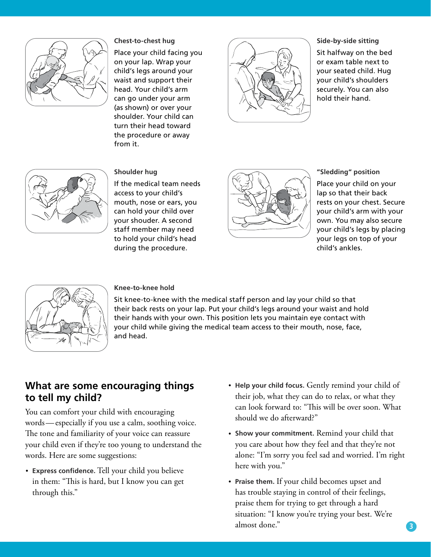

#### **Chest-to-chest hug**

Place your child facing you on your lap. Wrap your child's legs around your waist and support their head. Your child's arm can go under your arm (as shown) or over your shoulder. Your child can turn their head toward the procedure or away from it.



#### **Side-by-side sitting**

Sit halfway on the bed or exam table next to your seated child. Hug your child's shoulders securely. You can also hold their hand.



If the medical team needs access to your child's mouth, nose or ears, you can hold your child over your shouder. A second staff member may need

during the procedure.

**Shoulder hug**



**"Sledding" position** Place your child on your lap so that their back rests on your chest. Secure your child's arm with your own. You may also secure your child's legs by placing your legs on top of your child's ankles.



#### **Knee-to-knee hold**

Sit knee-to-knee with the medical staff person and lay your child so that their back rests on your lap. Put your child's legs around your waist and hold their hands with your own. This position lets you maintain eye contact with your child while giving the medical team access to their mouth, nose, face, and head.

### **What are some encouraging things to tell my child?**

You can comfort your child with encouraging words—especially if you use a calm, soothing voice. The tone and familiarity of your voice can reassure your child even if they're too young to understand the words. Here are some suggestions:

• **Express confidence.** Tell your child you believe in them: "This is hard, but I know you can get through this."

- **Help your child focus.** Gently remind your child of their job, what they can do to relax, or what they can look forward to: "This will be over soon. What should we do afterward?"
- **Show your commitment.** Remind your child that you care about how they feel and that they're not alone: "I'm sorry you feel sad and worried. I'm right here with you."
- **Praise them.** If your child becomes upset and has trouble staying in control of their feelings, praise them for trying to get through a hard situation: "I know you're trying your best. We're almost done."

**3**